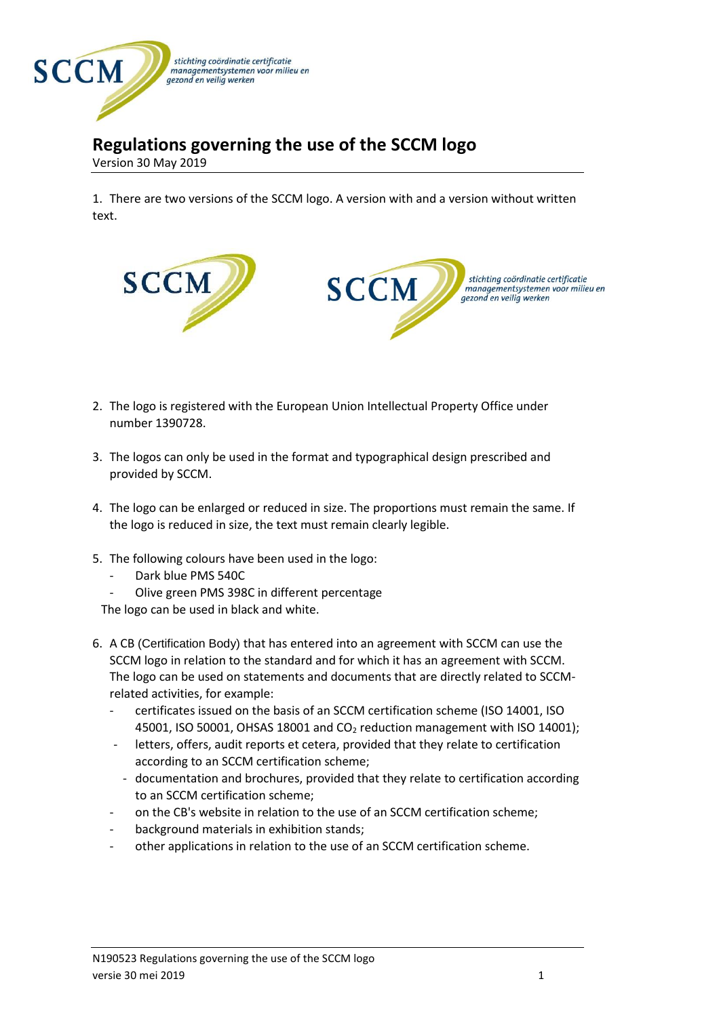

## **Regulations governing the use of the SCCM logo**

Version 30 May 2019

1. There are two versions of the SCCM logo. A version with and a version without written text.



- 2. The logo is registered with the European Union Intellectual Property Office under number 1390728.
- 3. The logos can only be used in the format and typographical design prescribed and provided by SCCM.
- 4. The logo can be enlarged or reduced in size. The proportions must remain the same. If the logo is reduced in size, the text must remain clearly legible.
- 5. The following colours have been used in the logo:
	- Dark blue PMS 540C
	- Olive green PMS 398C in different percentage

The logo can be used in black and white.

- 6. A CB (Certification Body) that has entered into an agreement with SCCM can use the SCCM logo in relation to the standard and for which it has an agreement with SCCM. The logo can be used on statements and documents that are directly related to SCCMrelated activities, for example:
	- certificates issued on the basis of an SCCM certification scheme (ISO 14001, ISO 45001, ISO 50001, OHSAS 18001 and CO<sub>2</sub> reduction management with ISO 14001);
	- letters, offers, audit reports et cetera, provided that they relate to certification according to an SCCM certification scheme;
	- documentation and brochures, provided that they relate to certification according to an SCCM certification scheme;
	- on the CB's website in relation to the use of an SCCM certification scheme;
	- background materials in exhibition stands;
	- other applications in relation to the use of an SCCM certification scheme.